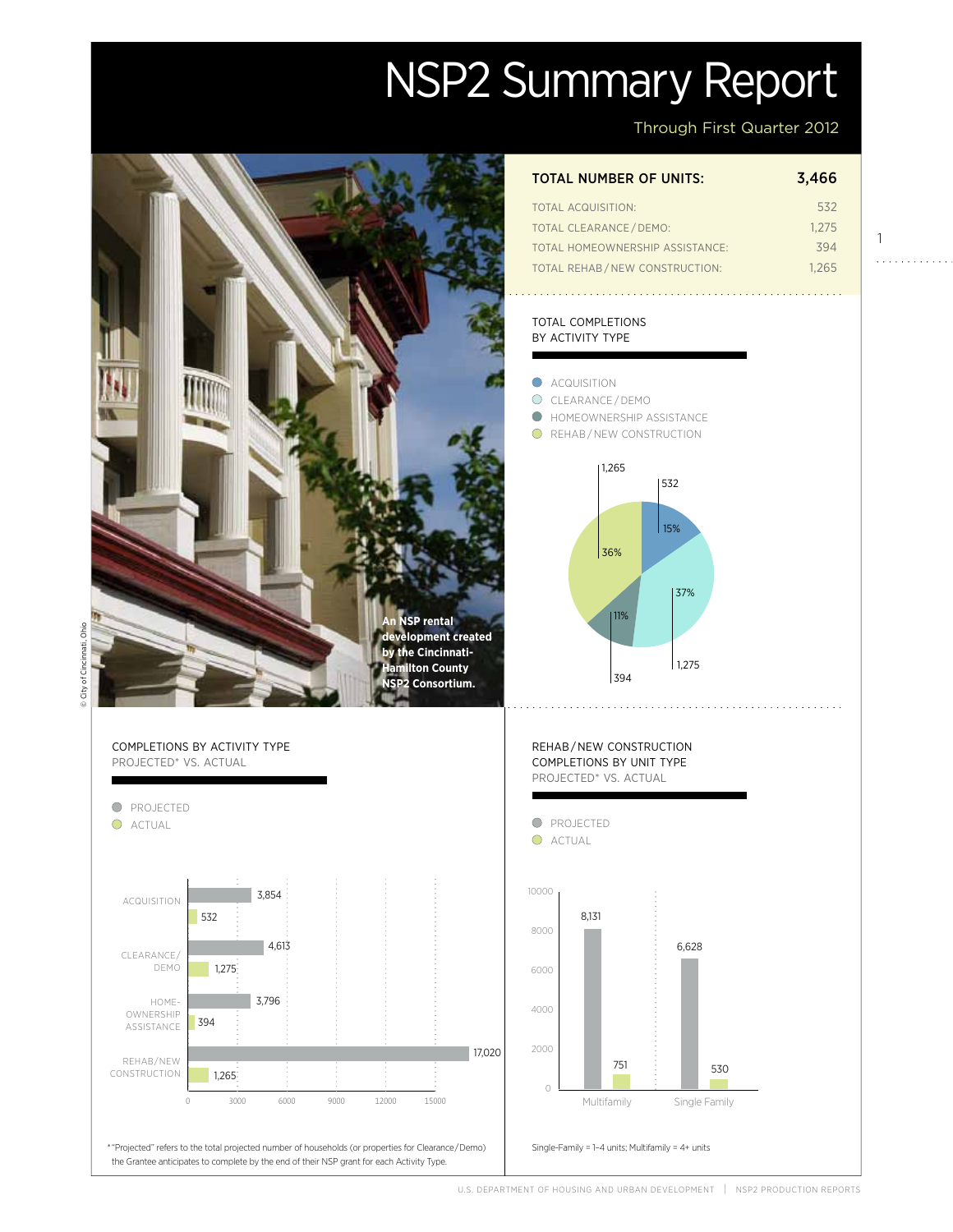# NSP2 Summary Report



## Through First Quarter 2012

1

. . . . . . . . . . . .

| TOTAL NUMBER OF UNITS: | 3,466 |
|------------------------|-------|
| TOTAL ACQUISITION:     | 532   |

| <b>TOTAL CLEARANCE/DEMO:</b>    | 1.275 |
|---------------------------------|-------|
| TOTAL HOMEOWNERSHIP ASSISTANCE: | 394   |
| TOTAL REHAB/NEW CONSTRUCTION:   | 1.265 |

### total completions by activity type

C ACQUISITION





U.S. Department of Housing and Urban Development | NSP2 Production Reports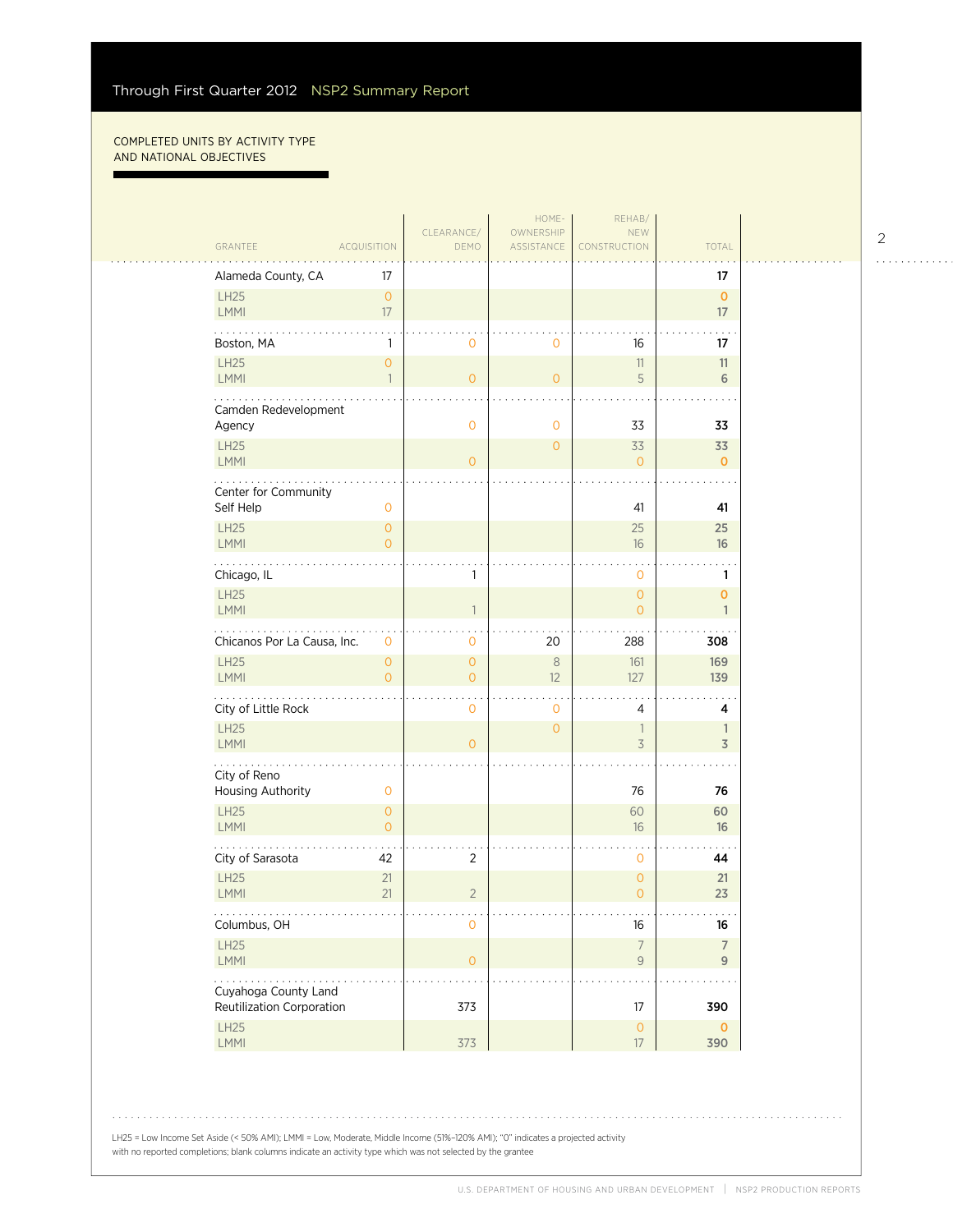#### COMPLETED UNITS BY ACTIVITY TYPE and national objectives

п

 $\mathbb{R}^2$ 

|                                   |                                | CLEARANCE/     | HOME-<br>OWNERSHIP | REHAB/<br><b>NEW</b>                  |                                  |  |
|-----------------------------------|--------------------------------|----------------|--------------------|---------------------------------------|----------------------------------|--|
| GRANTEE                           | <b>ACQUISITION</b>             | DEMO           | ASSISTANCE         | CONSTRUCTION                          | TOTAL                            |  |
| Alameda County, CA                | 17                             |                |                    |                                       | 17                               |  |
| LH25                              | $\overline{O}$                 |                |                    |                                       | $\mathbf{O}$                     |  |
| LMMI                              | 17                             |                |                    |                                       | 17                               |  |
| Boston, MA                        | 1                              | 0              | $\mathbf 0$        | 16                                    | 17                               |  |
| <b>LH25</b><br>LMMI               | $\overline{O}$<br>$\mathbf{1}$ | $\overline{O}$ | $\circ$            | 11<br>5                               | 11<br>6                          |  |
| Camden Redevelopment              |                                |                |                    |                                       |                                  |  |
| Agency                            |                                | $\overline{0}$ | $\mathbf 0$        | 33                                    | 33                               |  |
| LH25<br>LMMI                      |                                | $\overline{O}$ | $\overline{0}$     | 33<br>$\overline{0}$                  | 33<br>$\mathbf{0}$               |  |
|                                   |                                |                |                    |                                       |                                  |  |
| Center for Community<br>Self Help | $\mathbf{0}$                   |                |                    | 41                                    | 41                               |  |
| <b>LH25</b>                       | $\overline{O}$                 |                |                    | 25                                    | 25                               |  |
| <b>LMMI</b>                       | $\Omega$                       |                |                    | 16                                    | 16                               |  |
| Chicago, IL                       |                                | 1              |                    | $\mathbf 0$                           | 1                                |  |
| LH25<br><b>LMMI</b>               |                                | $\overline{1}$ |                    | $\overline{O}$<br>$\overline{0}$      | $\overline{0}$<br>$\mathbf{1}$   |  |
| Chicanos Por La Causa, Inc.       | $\mathbf{0}$                   | 0              | 20                 | 288                                   | 308                              |  |
| LH25                              | $\overline{O}$                 | $\overline{0}$ | $\,8\,$            | 161                                   | 169                              |  |
| LMMI                              | $\overline{O}$                 | $\overline{O}$ | 12                 | 127                                   | 139                              |  |
| City of Little Rock               |                                | 0              | $\mathbf 0$        | 4                                     | 4                                |  |
| <b>LH25</b><br>LMMI               |                                | $\overline{O}$ | $\overline{0}$     | $\overline{\phantom{a}}$<br>3         | 1<br>$\overline{3}$              |  |
| .                                 |                                |                |                    |                                       |                                  |  |
| City of Reno<br>Housing Authority | $\mathbf 0$                    |                |                    | 76                                    | 76                               |  |
| LH25                              | $\overline{O}$                 |                |                    | 60                                    | 60                               |  |
| <b>LMMI</b>                       | $\overline{O}$                 |                |                    | 16                                    | 16                               |  |
| City of Sarasota                  | 42                             | 2              |                    | $\mathbf 0$                           | 44                               |  |
| <b>LH25</b><br>LMMI               | 21<br>21                       | $\overline{2}$ |                    | $\mathsf{O}\xspace$<br>$\overline{0}$ | 21<br>23                         |  |
| .<br>Columbus, OH                 |                                | 0              |                    | 16                                    | $\sim 100$ km $^{-1}$<br>16      |  |
| LH25<br>LMMI                      |                                | $\overline{0}$ |                    | $\overline{7}$<br>$\mathcal{G}$       | $\overline{7}$<br>$\overline{9}$ |  |
| .<br>Cuyahoga County Land         |                                |                |                    |                                       |                                  |  |
| Reutilization Corporation         |                                | 373            |                    | 17                                    | 390                              |  |
| LH25<br>LMM                       |                                | 373            |                    | $\mathsf{O}\xspace$<br>$17\,$         | $\mathbf 0$<br>390               |  |
|                                   |                                |                |                    |                                       |                                  |  |

2

. . . . . . . . . . . .

LH25 = Low Income Set Aside (< 50% AMI); LMMI = Low, Moderate, Middle Income (51%–120% AMI); "0" indicates a projected activity with no reported completions; blank columns indicate an activity type which was not selected by the grantee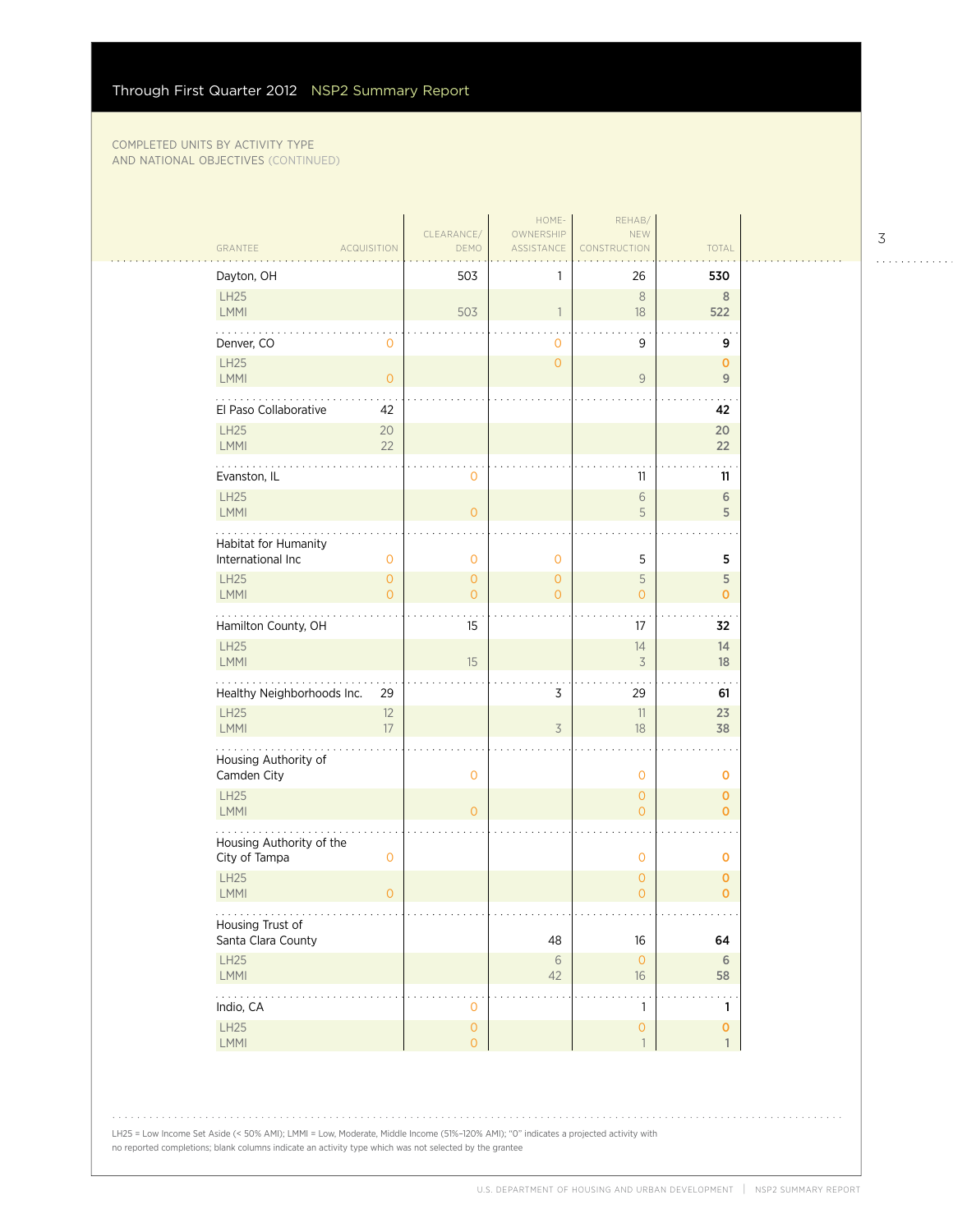### COMPLETED UNITS BY ACTIVITY TYPE and national objectives (Continued)

|                                             |                              | CLEARANCE/                            | HOME-<br>OWNERSHIP           | REHAB/<br><b>NEW</b>                |                               |
|---------------------------------------------|------------------------------|---------------------------------------|------------------------------|-------------------------------------|-------------------------------|
| GRANTEE                                     | <b>ACQUISITION</b>           | DEMO                                  | ASSISTANCE                   | CONSTRUCTION                        | <b>TOTAL</b>                  |
| Dayton, OH                                  |                              | 503                                   |                              | 26                                  | 530                           |
| LH25<br>LMMI                                |                              | 503                                   | $\mathbf{1}$                 | 8<br>18                             | $\,$ 8 $\,$<br>522            |
| Denver, CO                                  | 0                            |                                       | 0                            | 9                                   | 9                             |
| <b>LH25</b><br><b>LMMI</b>                  | $\overline{O}$               |                                       | $\mathbf{O}$                 | $\mathsf{9}$                        | $\mathbf 0$<br>9              |
| El Paso Collaborative                       | 42                           |                                       |                              |                                     | 42                            |
| <b>LH25</b><br>LMMI                         | 20<br>22                     |                                       |                              |                                     | 20<br>22                      |
| Evanston, IL                                |                              | 0                                     |                              | 11                                  | 11                            |
| LH25<br>LMMI                                |                              | $\circ$                               |                              | $\sqrt{6}$<br>5                     | 6<br>5                        |
| Habitat for Humanity                        |                              |                                       |                              |                                     |                               |
| International Inc<br><b>LH25</b>            | $\mathbf{O}$<br>$\mathbf{O}$ | $\mathbf{0}$<br>$\mathbf{0}$          | $\mathbf{0}$<br>$\mathbf{0}$ | 5<br>5                              | 5<br>5                        |
| LMMI                                        | $\Omega$                     | $\overline{O}$                        | $\Omega$                     | $\overline{O}$                      | $\mathbf{O}$                  |
| Hamilton County, OH                         |                              | 15                                    |                              | 17                                  | 32                            |
| LH25<br>LMMI                                |                              | 15                                    |                              | 14<br>$\overline{3}$                | 14<br>18                      |
| Healthy Neighborhoods Inc.                  | 29                           |                                       | 3                            | 29                                  | 61                            |
| <b>LH25</b><br><b>LMMI</b>                  | 12<br>17                     |                                       | $\overline{3}$               | 11<br>18                            | 23<br>38                      |
| Housing Authority of<br>Camden City         |                              | $\mathbf{O}$                          |                              | $\mathbf 0$                         | O                             |
| LH25<br>LMMI                                |                              | $\overline{O}$                        |                              | $\circ$<br>$\overline{O}$           | $\mathbf{O}$<br>$\mathbf{O}$  |
| Housing Authority of the<br>City of Tampa   | $\mathbf 0$                  |                                       |                              | $\mathbf 0$                         | $\mathbf 0$                   |
| <b>LH25</b><br>LMMI                         | $\overline{O}$               |                                       |                              | $\mathbf{O}$<br>$\overline{O}$      | $\mathbf 0$<br>$\overline{0}$ |
| .<br>Housing Trust of<br>Santa Clara County |                              |                                       | 48                           | $16\,$                              | 64                            |
| <b>LH25</b>                                 |                              |                                       | $\sqrt{6}$                   | $\circ$                             | 6                             |
| LMMI                                        |                              |                                       | 42                           | 16                                  | 58                            |
| .<br>Indio, CA                              |                              | $\mathbf{O}$                          |                              | $\mathbf{1}$                        | $\mathbf{1}$                  |
| <b>LH25</b><br>LMM                          |                              | $\mathsf{O}\xspace$<br>$\overline{O}$ |                              | $\mathsf{O}\xspace$<br>$\mathbf{1}$ | $\pmb{0}$<br>$\mathbf{1}$     |
|                                             |                              |                                       |                              |                                     |                               |

LH25 = Low Income Set Aside (< 50% AMI); LMMI = Low, Moderate, Middle Income (51%–120% AMI); "0" indicates a projected activity with no reported completions; blank columns indicate an activity type which was not selected by the grantee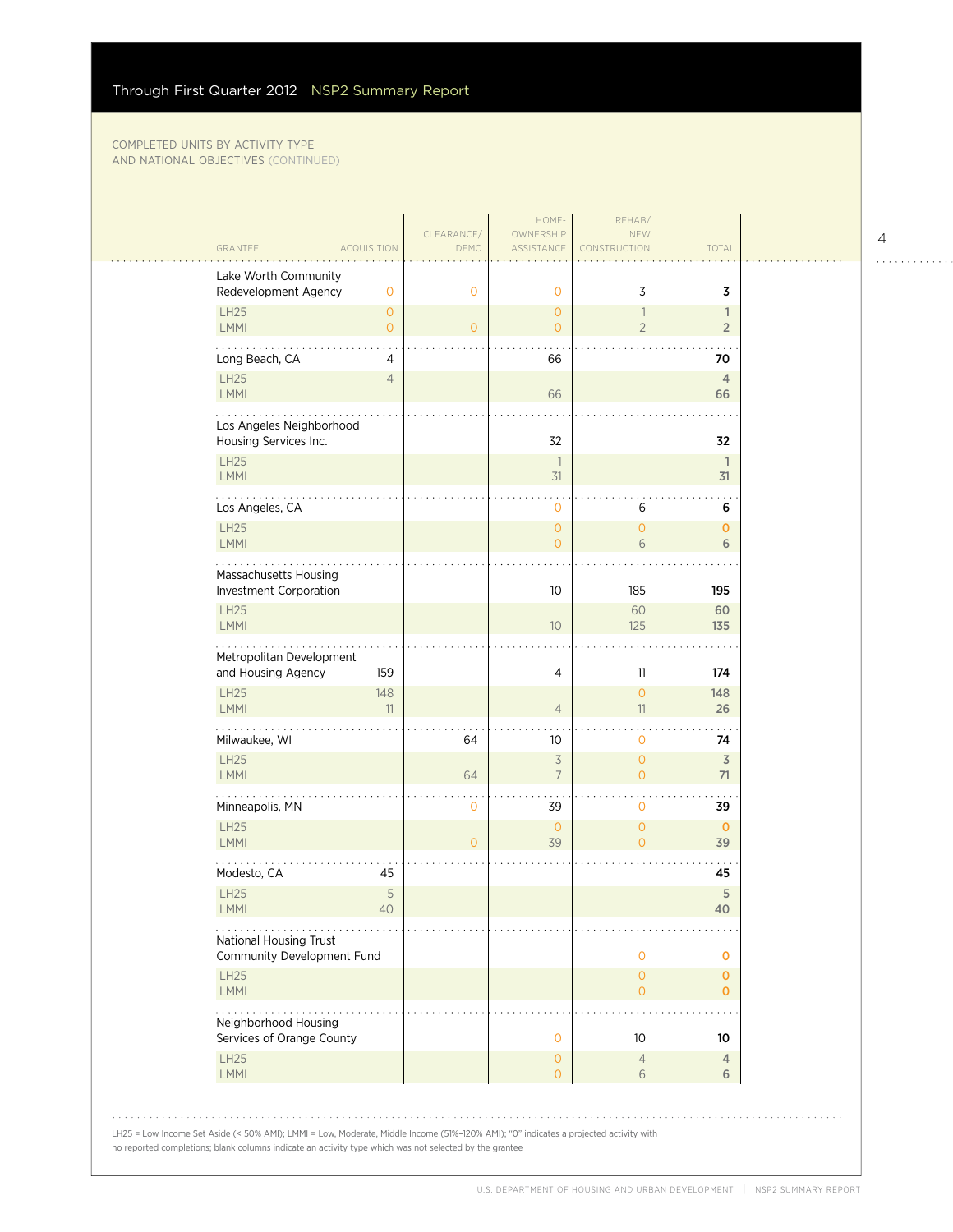no reported completions; blank columns indicate an activity type which was not selected by the grantee

#### COMPLETED UNITS BY ACTIVITY TYPE and national objectives (Continued)

| GRANTEE<br><b>ACQUISITION</b>                                    |                                | DEMO           | ASSISTANCE                                 | CONSTRUCTION                   | TOTAL                          |  |
|------------------------------------------------------------------|--------------------------------|----------------|--------------------------------------------|--------------------------------|--------------------------------|--|
| Lake Worth Community<br>Redevelopment Agency                     | $\mathbf 0$                    | $\mathbf{0}$   | $\mathbf 0$                                | 3                              | 3                              |  |
| LH25<br><b>LMMI</b>                                              | $\mathbf{O}$<br>$\overline{O}$ | $\overline{0}$ | $\mathbf{O}$<br>$\overline{O}$             | 1<br>$\overline{2}$            | $\mathbf{1}$<br>$\overline{2}$ |  |
| Long Beach, CA                                                   | 4                              |                | 66                                         |                                | 70                             |  |
| <b>LH25</b><br><b>LMMI</b>                                       | $\overline{4}$                 |                | 66                                         |                                | 4<br>66                        |  |
| Los Angeles Neighborhood<br>Housing Services Inc.                |                                |                | 32                                         |                                | 32                             |  |
| LH25<br><b>LMMI</b>                                              |                                |                | $\overline{\phantom{a}}$<br>31             |                                | $\mathbf{1}$<br>31             |  |
| Los Angeles, CA                                                  |                                |                | $\mathbf 0$                                | 6                              | 6                              |  |
| <b>LH25</b><br><b>LMMI</b>                                       |                                |                | $\mathbf{O}$<br>$\overline{O}$             | $\mathbf{O}$<br>6              | $\mathbf{O}$<br>6              |  |
| Massachusetts Housing<br>Investment Corporation                  |                                |                | 10                                         | 185                            | 195                            |  |
| LH25<br><b>LMMI</b>                                              |                                |                | 10 <sup>°</sup>                            | 60<br>125                      | 60<br>135                      |  |
| Metropolitan Development<br>and Housing Agency                   | 159                            |                | 4                                          | 11                             | 174                            |  |
| LH25<br><b>LMMI</b>                                              | 148<br>11                      |                | $\overline{4}$                             | $\mathbf{O}$<br>11             | 148<br>26                      |  |
| Milwaukee, WI                                                    |                                | 64             | 10                                         | $\mathbf 0$                    | 74                             |  |
| LH25<br><b>LMMI</b>                                              |                                | 64             | $\overline{\mathcal{S}}$<br>$\overline{7}$ | $\mathbf{O}$<br>$\overline{0}$ | $\overline{3}$<br>71           |  |
| Minneapolis, MN                                                  |                                | $\mathbf 0$    | 39                                         | $\mathbf{O}$                   | 39                             |  |
| <b>LH25</b><br><b>LMMI</b>                                       |                                | $\overline{O}$ | $\overline{0}$<br>39                       | $\mathbf{O}$<br>$\overline{O}$ | $\mathbf{0}$<br>39             |  |
| Modesto, CA                                                      | 45                             |                |                                            |                                | 45                             |  |
| LH25<br>LMMI                                                     | 5<br>40                        |                |                                            |                                | 5<br>40                        |  |
| $\cdots$<br>National Housing Trust<br>Community Development Fund |                                |                |                                            | $\mathbf 0$                    | O                              |  |
| <b>LH25</b><br>LMMI                                              |                                |                |                                            | $\circ$<br>$\overline{O}$      | $\mathbf{0}$<br>$\mathbf{O}$   |  |
| Neighborhood Housing<br>Services of Orange County                |                                |                | $\mathbf{O}$                               | 10                             | 10                             |  |
| LH25<br>LMMI                                                     |                                |                | $\mathsf O$<br>$\overline{O}$              | $\overline{4}$<br>$6\,$        | 4<br>6                         |  |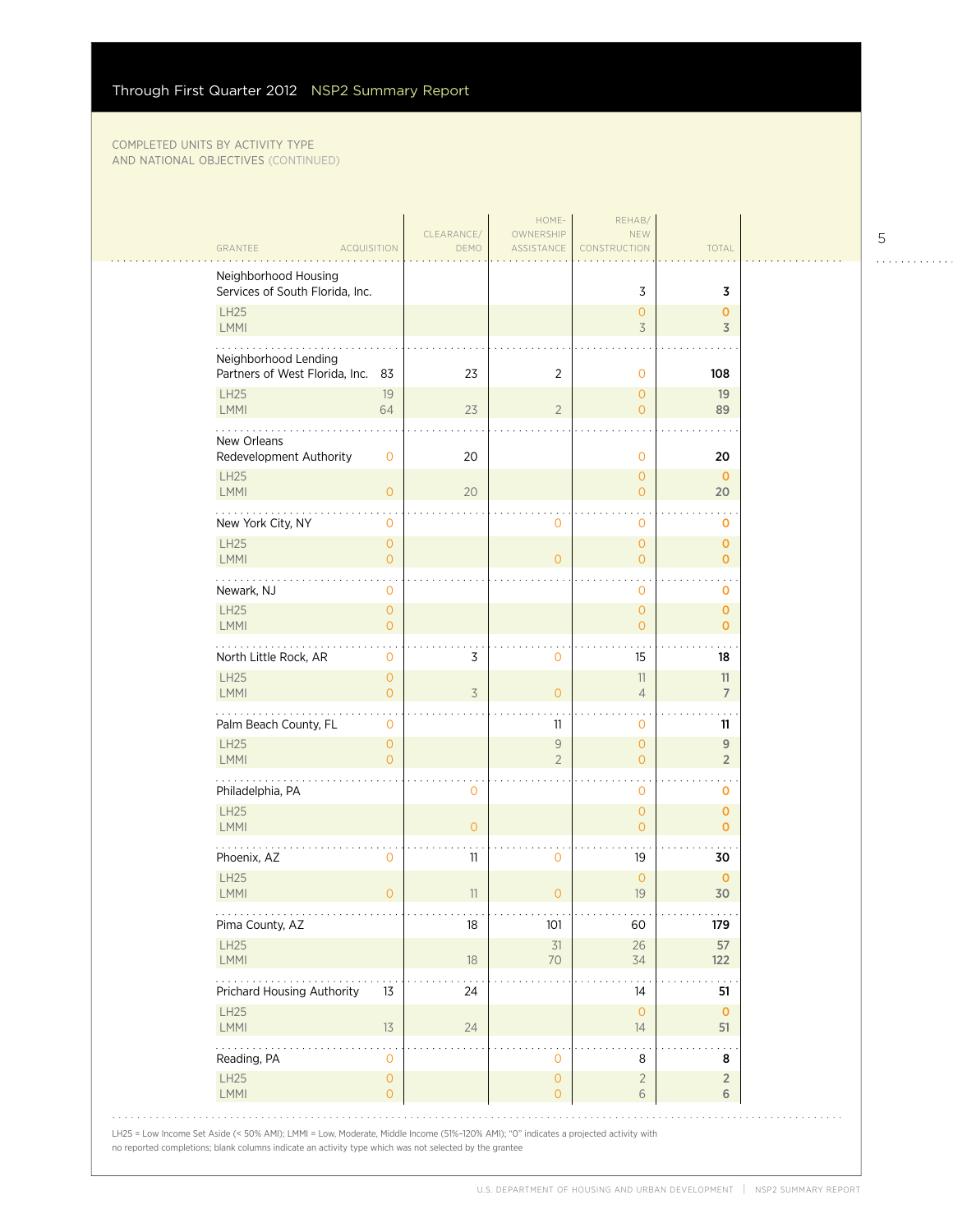#### COMPLETED UNITS BY ACTIVITY TYPE and national objectives (Continued)

| GRANTEE<br><b>ACQUISITION</b>                           | CLEARANCE/<br>DEMO   | HOME-<br>OWNERSHIP<br>ASSISTANCE | REHAB/<br><b>NEW</b><br>CONSTRUCTION | <b>TOTAL</b>      |  |
|---------------------------------------------------------|----------------------|----------------------------------|--------------------------------------|-------------------|--|
|                                                         |                      |                                  |                                      |                   |  |
| Neighborhood Housing<br>Services of South Florida, Inc. |                      |                                  | 3                                    | 3                 |  |
| LH25                                                    |                      |                                  | $\mathbf{O}$                         | $\mathbf 0$       |  |
| LMMI                                                    |                      |                                  | 3                                    | $\overline{3}$    |  |
| Neighborhood Lending                                    |                      |                                  |                                      |                   |  |
| Partners of West Florida, Inc. 83                       | 23                   | 2                                | $\mathbf 0$                          | 108               |  |
| <b>LH25</b>                                             | 19                   |                                  | $\mathbf{0}$                         | 19                |  |
| LMMI                                                    | 64<br>23             | $\overline{2}$                   | $\Omega$                             | 89                |  |
| New Orleans                                             |                      |                                  |                                      |                   |  |
| Redevelopment Authority                                 | 20<br>0              |                                  | $\mathbf 0$                          | 20                |  |
| <b>LH25</b><br><b>LMMI</b>                              | $\overline{O}$<br>20 |                                  | $\mathbf{O}$<br>$\overline{0}$       | $\mathbf 0$<br>20 |  |
|                                                         |                      |                                  |                                      |                   |  |
| New York City, NY                                       | 0                    | $\mathbf 0$                      | $\mathbf{O}$                         | 0                 |  |
| <b>LH25</b><br>LMMI                                     | 0<br>$\Omega$        | $\Omega$                         | $\mathbf{O}$<br>$\Omega$             | 0<br>$\mathbf{O}$ |  |
| .                                                       |                      |                                  |                                      |                   |  |
| Newark, NJ                                              | 0                    |                                  | $\mathbf 0$                          | o                 |  |
| LH25                                                    | $\overline{O}$       |                                  | $\mathbf{O}$                         | $\mathbf 0$       |  |
| <b>LMMI</b>                                             | $\overline{O}$       |                                  | $\Omega$                             | $\mathbf 0$       |  |
| North Little Rock, AR                                   | 3<br>0               | 0                                | 15                                   | 18                |  |
| <b>LH25</b>                                             | $\mathbf{O}$         |                                  | 11                                   | 11                |  |
| <b>LMMI</b>                                             | $\overline{O}$<br>3  | $\overline{O}$                   | $\overline{4}$                       | $\overline{7}$    |  |
| Palm Beach County, FL                                   | 0                    | 11                               | $\mathbf{0}$                         | 11                |  |
| <b>LH25</b>                                             | $\overline{0}$       | $\overline{9}$                   | $\mathbf{O}$                         | $9$               |  |
| LMMI                                                    | $\Omega$             | $\overline{2}$                   | $\Omega$                             | $\overline{2}$    |  |
| Philadelphia, PA                                        | 0                    |                                  | $\mathbf 0$                          | o                 |  |
| <b>LH25</b>                                             |                      |                                  | $\mathbf{O}$                         | $\mathbf 0$       |  |
| LMMI                                                    | $\overline{O}$       |                                  | $\mathbf{O}$                         | $\mathbf 0$       |  |
| Phoenix, AZ                                             | 11<br>0              | 0                                | 19                                   | 30                |  |
| <b>LH25</b>                                             |                      |                                  | $\mathbf{O}$                         | $\mathbf 0$       |  |
| <b>LMMI</b>                                             | $\mathbf{O}$<br>11   | $\mathbf{O}$                     | 19                                   | 30                |  |
| .<br>Pima County, AZ                                    | 18                   | 101                              | .<br>60                              | .<br>179          |  |
| LH25                                                    |                      | 31                               | 26                                   | 57                |  |
| LMMI                                                    | $18\,$               | 70                               | 34                                   | 122               |  |
| Prichard Housing Authority                              | 13<br>24             |                                  | 14                                   | 51                |  |
| LH25                                                    |                      |                                  | $\mathbf{0}$                         | $\mathbf 0$       |  |
| LMMI                                                    | 13<br>24             |                                  | 14                                   | 51                |  |
| Reading, PA                                             | 0                    | 0                                | 8                                    | 8                 |  |
| LH25                                                    | 0                    | $\circ$                          | $\overline{2}$                       | $\overline{2}$    |  |
| LMMI                                                    | $\overline{O}$       | $\overline{O}$                   | 6                                    | 6                 |  |